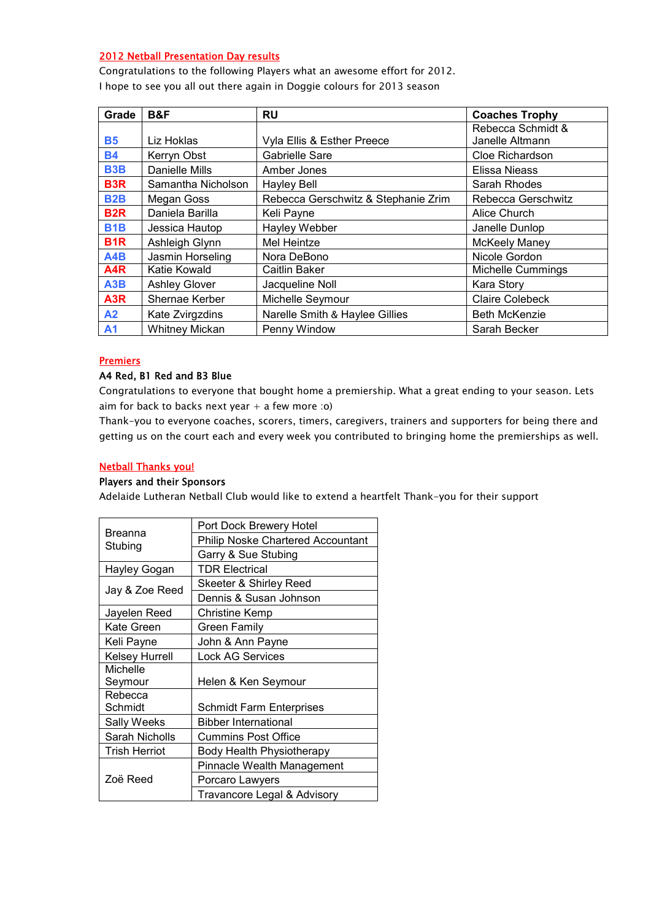# 2012 Netball Presentation Day results

Congratulations to the following Players what an awesome effort for 2012. I hope to see you all out there again in Doggie colours for 2013 season

| Grade            | B&F                   | <b>RU</b>                           | <b>Coaches Trophy</b>    |
|------------------|-----------------------|-------------------------------------|--------------------------|
|                  |                       |                                     | Rebecca Schmidt &        |
| <b>B5</b>        | Liz Hoklas            | Vyla Ellis & Esther Preece          | Janelle Altmann          |
| <b>B4</b>        | Kerryn Obst           | Gabrielle Sare                      | Cloe Richardson          |
| <b>B3B</b>       | Danielle Mills        | Amber Jones                         | Elissa Nieass            |
| B <sub>3</sub> R | Samantha Nicholson    | <b>Hayley Bell</b>                  | Sarah Rhodes             |
| <b>B2B</b>       | Megan Goss            | Rebecca Gerschwitz & Stephanie Zrim | Rebecca Gerschwitz       |
| B <sub>2</sub> R | Daniela Barilla       | Keli Payne                          | Alice Church             |
| <b>B1B</b>       | Jessica Hautop        | Hayley Webber                       | Janelle Dunlop           |
| B <sub>1</sub> R | Ashleigh Glynn        | Mel Heintze                         | <b>McKeely Maney</b>     |
| A4B              | Jasmin Horseling      | Nora DeBono                         | Nicole Gordon            |
| A4R              | Katie Kowald          | Caitlin Baker                       | <b>Michelle Cummings</b> |
| A3B              | <b>Ashley Glover</b>  | Jacqueline Noll                     | Kara Story               |
| A <sub>3</sub> R | Shernae Kerber        | Michelle Seymour                    | <b>Claire Colebeck</b>   |
| A2               | Kate Zvirgzdins       | Narelle Smith & Haylee Gillies      | <b>Beth McKenzie</b>     |
| A <sub>1</sub>   | <b>Whitney Mickan</b> | Penny Window                        | Sarah Becker             |

#### **Premiers**

### A4 Red, B1 Red and B3 Blue

Congratulations to everyone that bought home a premiership. What a great ending to your season. Lets aim for back to backs next year  $+$  a few more :o)

Thank-you to everyone coaches, scorers, timers, caregivers, trainers and supporters for being there and getting us on the court each and every week you contributed to bringing home the premierships as well.

#### Netball Thanks you!

#### Players and their Sponsors

Adelaide Lutheran Netball Club would like to extend a heartfelt Thank-you for their support

|                       | Port Dock Brewery Hotel                  |  |
|-----------------------|------------------------------------------|--|
| Breanna<br>Stubing    | <b>Philip Noske Chartered Accountant</b> |  |
|                       | Garry & Sue Stubing                      |  |
| Hayley Gogan          | <b>TDR Electrical</b>                    |  |
|                       | Skeeter & Shirley Reed                   |  |
| Jay & Zoe Reed        | Dennis & Susan Johnson                   |  |
| Jayelen Reed          | <b>Christine Kemp</b>                    |  |
| Kate Green            | Green Family                             |  |
| Keli Payne            | John & Ann Payne                         |  |
| <b>Kelsey Hurrell</b> | <b>Lock AG Services</b>                  |  |
| Michelle              |                                          |  |
| Seymour               | Helen & Ken Seymour                      |  |
| Rebecca               |                                          |  |
| Schmidt               | <b>Schmidt Farm Enterprises</b>          |  |
| Sally Weeks           | <b>Bibber International</b>              |  |
| Sarah Nicholls        | <b>Cummins Post Office</b>               |  |
| <b>Trish Herriot</b>  | Body Health Physiotherapy                |  |
|                       | <b>Pinnacle Wealth Management</b>        |  |
| Zoë Reed              | Porcaro Lawyers                          |  |
|                       | Travancore Legal & Advisory              |  |